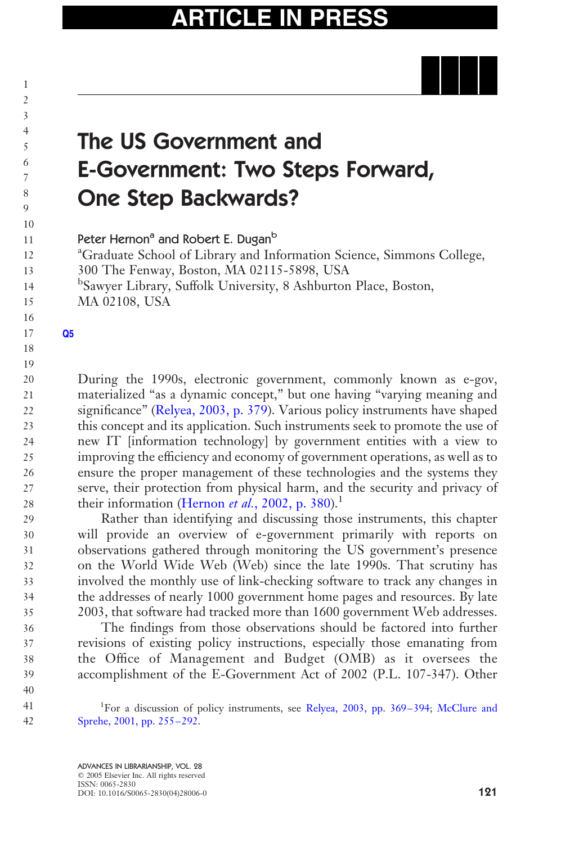# The US Government and E-Government: Two Steps Forward, One Step Backwards?

Peter Hernon<sup>a</sup> and Robert E. Dugan<sup>b</sup>

<sup>a</sup>Graduate School of Library and Information Science, Simmons College,

300 The Fenway, Boston, MA 02115-5898, USA

b Sawyer Library, Suffolk University, 8 Ashburton Place, Boston,

MA 02108, USA

Q5

17 18 19

> During the 1990s, electronic government, commonly known as e-gov, materialized "as a dynamic concept," but one having "varying meaning and significance" [\(Relyea, 2003, p. 379\)](#page-25-0). Various policy instruments have shaped this concept and its application. Such instruments seek to promote the use of new IT [information technology] by government entities with a view to improving the efficiency and economy of government operations, as well as to ensure the proper management of these technologies and the systems they serve, their protection from physical harm, and the security and privacy of their information (Hernon *et al.*[, 2002, p. 380](#page-25-0)).<sup>1</sup>

Rather than identifying and discussing those instruments, this chapter will provide an overview of e-government primarily with reports on observations gathered through monitoring the US government's presence on the World Wide Web (Web) since the late 1990s. That scrutiny has involved the monthly use of link-checking software to track any changes in the addresses of nearly 1000 government home pages and resources. By late 2003, that software had tracked more than 1600 government Web addresses. 29 30 31 32 33 34 35

The findings from those observations should be factored into further revisions of existing policy instructions, especially those emanating from the Office of Management and Budget (OMB) as it oversees the accomplishment of the E-Government Act of 2002 (P.L. 107-347). Other

<sup>1</sup>For a discussion of policy instruments, see Relyea, 2003, pp. 369-394; [McClure and](#page-25-0) [Sprehe, 2001, pp. 255–292](#page-25-0). 41 42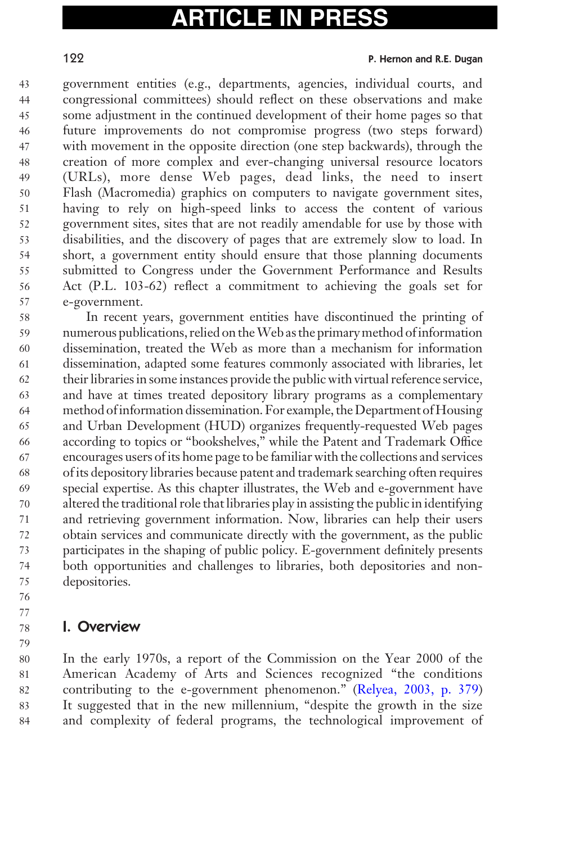#### 122 P. Hernon and R.E. Dugan

government entities (e.g., departments, agencies, individual courts, and congressional committees) should reflect on these observations and make some adjustment in the continued development of their home pages so that future improvements do not compromise progress (two steps forward) with movement in the opposite direction (one step backwards), through the creation of more complex and ever-changing universal resource locators (URLs), more dense Web pages, dead links, the need to insert Flash (Macromedia) graphics on computers to navigate government sites, having to rely on high-speed links to access the content of various government sites, sites that are not readily amendable for use by those with disabilities, and the discovery of pages that are extremely slow to load. In short, a government entity should ensure that those planning documents submitted to Congress under the Government Performance and Results Act (P.L. 103-62) reflect a commitment to achieving the goals set for e-government. 43 44 45 46 47 48 49 50 51 52 53 54 55 56 57

In recent years, government entities have discontinued the printing of numerous publications, relied on the Web as the primary method of information dissemination, treated the Web as more than a mechanism for information dissemination, adapted some features commonly associated with libraries, let their libraries in some instances provide the public with virtual reference service, and have at times treated depository library programs as a complementary method of information dissemination. For example, the Department of Housing and Urban Development (HUD) organizes frequently-requested Web pages according to topics or "bookshelves," while the Patent and Trademark Office encourages users of its home page to be familiar with the collections and services of its depository libraries because patent and trademark searching often requires special expertise. As this chapter illustrates, the Web and e-government have altered the traditional role that libraries play in assisting the public in identifying and retrieving government information. Now, libraries can help their users obtain services and communicate directly with the government, as the public participates in the shaping of public policy. E-government definitely presents both opportunities and challenges to libraries, both depositories and nondepositories. 58 59 60 61 62 63 64 65 66 67 68 69 70 71 72 73 74 75

76 77

78 79

### I. Overview

In the early 1970s, a report of the Commission on the Year 2000 of the American Academy of Arts and Sciences recognized "the conditions contributing to the e-government phenomenon." ([Relyea, 2003, p. 379\)](#page-25-0) It suggested that in the new millennium, "despite the growth in the size and complexity of federal programs, the technological improvement of 80 81 82 83 84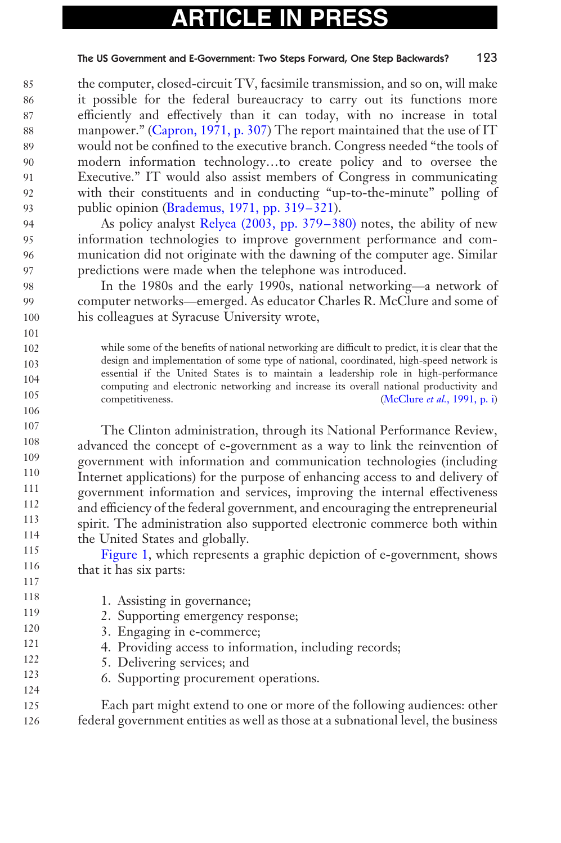#### The US Government and E-Government: Two Steps Forward, One Step Backwards? 123

the computer, closed-circuit TV, facsimile transmission, and so on, will make it possible for the federal bureaucracy to carry out its functions more efficiently and effectively than it can today, with no increase in total manpower." ([Capron, 1971, p. 307\)](#page-25-0) The report maintained that the use of IT would not be confined to the executive branch. Congress needed "the tools of modern information technology…to create policy and to oversee the Executive." IT would also assist members of Congress in communicating with their constituents and in conducting "up-to-the-minute" polling of public opinion [\(Brademus, 1971, pp. 319–321\)](#page-25-0). 85 86 87 88  $80$ 90 91 92 93

As policy analyst [Relyea \(2003, pp. 379–380\)](#page-25-0) notes, the ability of new information technologies to improve government performance and communication did not originate with the dawning of the computer age. Similar predictions were made when the telephone was introduced. 94 95 96 97

In the 1980s and the early 1990s, national networking—a network of computer networks—emerged. As educator Charles R. McClure and some of his colleagues at Syracuse University wrote,

while some of the benefits of national networking are difficult to predict, it is clear that the design and implementation of some type of national, coordinated, high-speed network is essential if the United States is to maintain a leadership role in high-performance computing and electronic networking and increase its overall national productivity and competitiveness. (McClure *et al.*[, 1991, p. i](#page-25-0))

The Clinton administration, through its National Performance Review, advanced the concept of e-government as a way to link the reinvention of government with information and communication technologies (including Internet applications) for the purpose of enhancing access to and delivery of government information and services, improving the internal effectiveness and efficiency of the federal government, and encouraging the entrepreneurial spirit. The administration also supported electronic commerce both within the United States and globally. 107 108 109 110 111 112 113 114

[Figure 1](#page-3-0), which represents a graphic depiction of e-government, shows that it has six parts: 115 116 117

118 119

- 1. Assisting in governance;
- 2. Supporting emergency response;
- 3. Engaging in e-commerce;
- 4. Providing access to information, including records;
- 5. Delivering services; and
- 6. Supporting procurement operations.

Each part might extend to one or more of the following audiences: other federal government entities as well as those at a subnational level, the business 125 126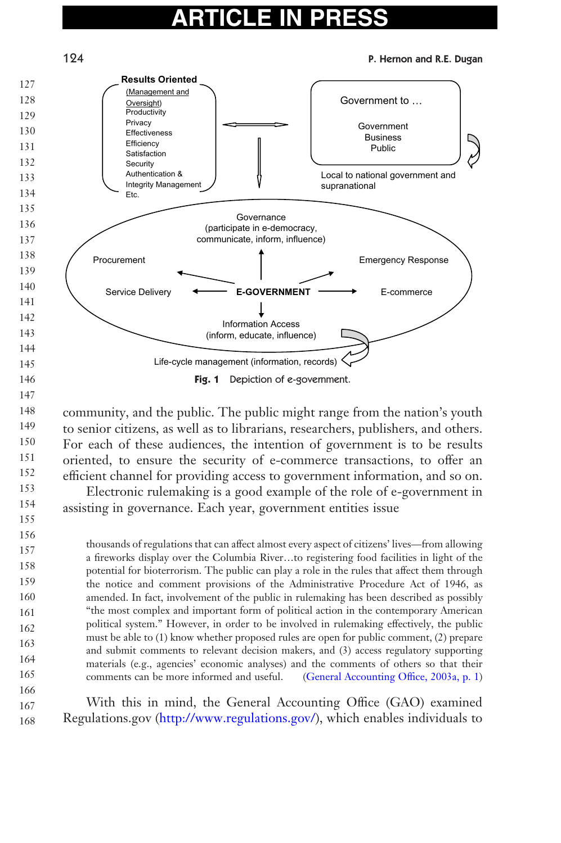# PR

<span id="page-3-0"></span>

amended. In fact, involvement of the public in rulemaking has been described as possibly "the most complex and important form of political action in the contemporary American political system." However, in order to be involved in rulemaking effectively, the public must be able to (1) know whether proposed rules are open for public comment, (2) prepare and submit comments to relevant decision makers, and (3) access regulatory supporting materials (e.g., agencies' economic analyses) and the comments of others so that their comments can be more informed and useful. [\(General Accounting Office, 2003a, p. 1\)](#page-25-0) 161 162 163 164 165

With this in mind, the General Accounting Office (GAO) examined Regulations.gov ([http://www.regulations.gov/\)](http://www.regulations.gov/), which enables individuals to 166 167 168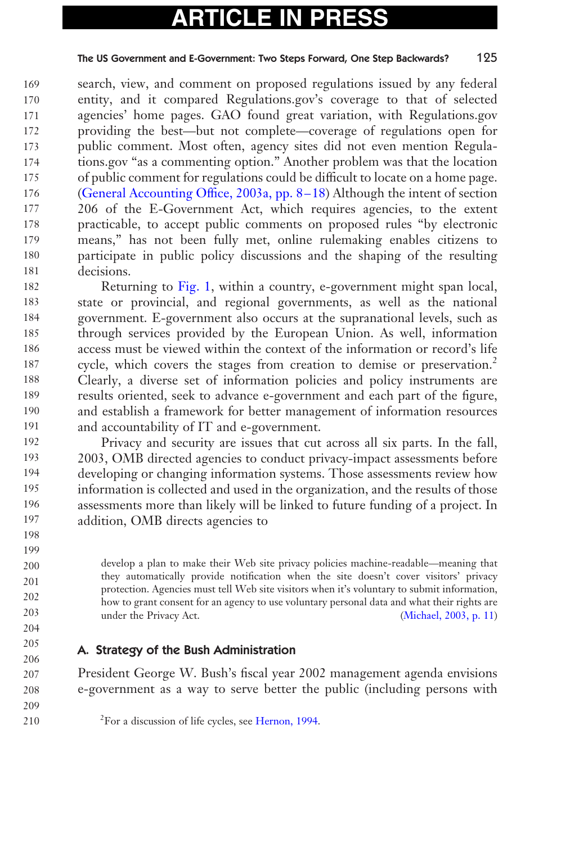### The US Government and E-Government: Two Steps Forward, One Step Backwards? 125

search, view, and comment on proposed regulations issued by any federal entity, and it compared Regulations.gov's coverage to that of selected agencies' home pages. GAO found great variation, with Regulations.gov providing the best—but not complete—coverage of regulations open for public comment. Most often, agency sites did not even mention Regulations.gov "as a commenting option." Another problem was that the location of public comment for regulations could be difficult to locate on a home page. ([General Accounting Office, 2003a, pp. 8–18](#page-25-0)) Although the intent of section 206 of the E-Government Act, which requires agencies, to the extent practicable, to accept public comments on proposed rules "by electronic means," has not been fully met, online rulemaking enables citizens to participate in public policy discussions and the shaping of the resulting decisions. 169 170 171 172 173 174 175 176 177 178 179 180 181

Returning to [Fig. 1](#page-3-0), within a country, e-government might span local, state or provincial, and regional governments, as well as the national government. E-government also occurs at the supranational levels, such as through services provided by the European Union. As well, information access must be viewed within the context of the information or record's life cycle, which covers the stages from creation to demise or preservation.<sup>2</sup> Clearly, a diverse set of information policies and policy instruments are results oriented, seek to advance e-government and each part of the figure, and establish a framework for better management of information resources and accountability of IT and e-government. 182 183 184 185 186 187 188 189 190 191

Privacy and security are issues that cut across all six parts. In the fall, 2003, OMB directed agencies to conduct privacy-impact assessments before developing or changing information systems. Those assessments review how information is collected and used in the organization, and the results of those assessments more than likely will be linked to future funding of a project. In addition, OMB directs agencies to 192 193 194 195 196 197

198 199

develop a plan to make their Web site privacy policies machine-readable—meaning that they automatically provide notification when the site doesn't cover visitors' privacy protection. Agencies must tell Web site visitors when it's voluntary to submit information, how to grant consent for an agency to use voluntary personal data and what their rights are under the Privacy Act. [\(Michael, 2003, p. 11](#page-25-0))

A. Strategy of the Bush Administration

President George W. Bush's fiscal year 2002 management agenda envisions e-government as a way to serve better the public (including persons with

208 209 210

<sup>2</sup>For a discussion of life cycles, see [Hernon, 1994](#page-25-0).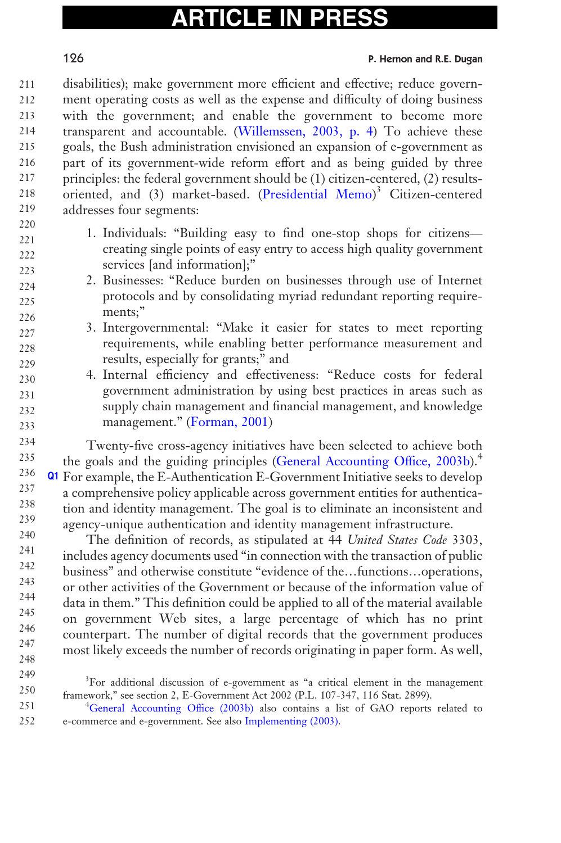#### 126 P. Hernon and R.E. Dugan

disabilities); make government more efficient and effective; reduce government operating costs as well as the expense and difficulty of doing business with the government; and enable the government to become more transparent and accountable. ([Willemssen, 2003, p. 4\)](#page-25-0) To achieve these goals, the Bush administration envisioned an expansion of e-government as part of its government-wide reform effort and as being guided by three principles: the federal government should be (1) citizen-centered, (2) results-oriented, and (3) market-based. ([Presidential Memo](#page-25-0))<sup>3</sup> Citizen-centered addresses four segments: 211 212 213 214 215 216 217 218 219

- 1. Individuals: "Building easy to find one-stop shops for citizens creating single points of easy entry to access high quality government services [and information];"
- 2. Businesses: "Reduce burden on businesses through use of Internet protocols and by consolidating myriad redundant reporting requirements;"
- 3. Intergovernmental: "Make it easier for states to meet reporting requirements, while enabling better performance measurement and results, especially for grants;" and 226 227 228 229
- 4. Internal efficiency and effectiveness: "Reduce costs for federal government administration by using best practices in areas such as supply chain management and financial management, and knowledge management." [\(Forman, 2001\)](#page-25-0) 230 231 232 233

Twenty-five cross-agency initiatives have been selected to achieve both the goals and the guiding principles [\(General Accounting Office, 2003b](#page-25-0)).<sup>4</sup> Q1 For example, the E-Authentication E-Government Initiative seeks to develop a comprehensive policy applicable across government entities for authentication and identity management. The goal is to eliminate an inconsistent and agency-unique authentication and identity management infrastructure. 234 235 236 237 238 239

The definition of records, as stipulated at 44 United States Code 3303, includes agency documents used "in connection with the transaction of public business" and otherwise constitute "evidence of the…functions…operations, or other activities of the Government or because of the information value of data in them." This definition could be applied to all of the material available on government Web sites, a large percentage of which has no print counterpart. The number of digital records that the government produces most likely exceeds the number of records originating in paper form. As well, 240 241 242 243 244 245 246 247 248

249 250

<sup>4</sup>[General Accounting Office \(2003b\)](#page-25-0) also contains a list of GAO reports related to e-commerce and e-government. See also [Implementing \(2003\).](#page-25-0) 251 252

<sup>&</sup>lt;sup>3</sup>For additional discussion of e-government as "a critical element in the management framework," see section 2, E-Government Act 2002 (P.L. 107-347, 116 Stat. 2899). <sup>4</sup>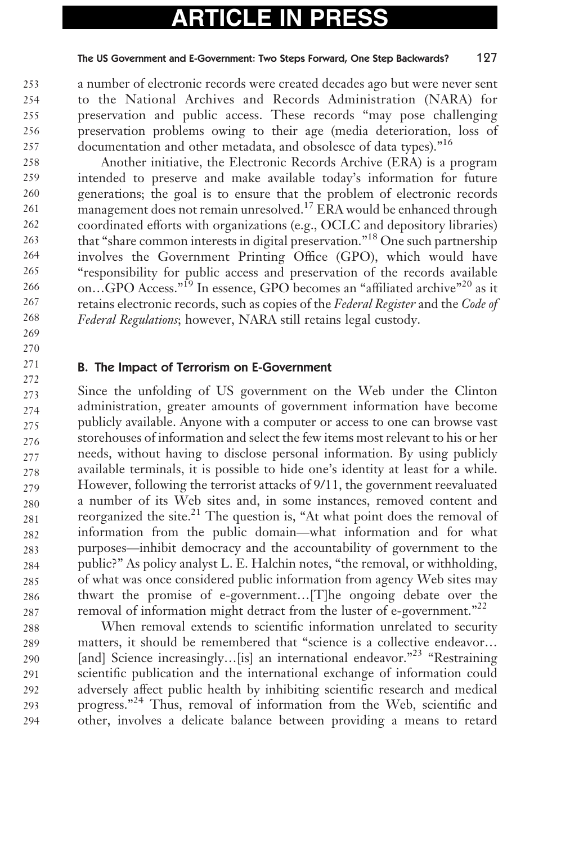#### The US Government and E-Government: Two Steps Forward, One Step Backwards? 127

a number of electronic records were created decades ago but were never sent to the National Archives and Records Administration (NARA) for preservation and public access. These records "may pose challenging preservation problems owing to their age (media deterioration, loss of documentation and other metadata, and obsolesce of data types)."<sup>16</sup> 253 254 255 256 257

Another initiative, the Electronic Records Archive (ERA) is a program intended to preserve and make available today's information for future generations; the goal is to ensure that the problem of electronic records management does not remain unresolved.<sup>17</sup> ERA would be enhanced through coordinated efforts with organizations (e.g., OCLC and depository libraries) that "share common interests in digital preservation."<sup>18</sup> One such partnership involves the Government Printing Office (GPO), which would have "responsibility for public access and preservation of the records available on…GPO Access."<sup>19</sup> In essence, GPO becomes an "affiliated archive"<sup>20</sup> as it retains electronic records, such as copies of the Federal Register and the Code of Federal Regulations; however, NARA still retains legal custody. 258 259 260 261 262 263 264 265 266 267 268

269 270

271

### B. The Impact of Terrorism on E-Government

Since the unfolding of US government on the Web under the Clinton administration, greater amounts of government information have become publicly available. Anyone with a computer or access to one can browse vast storehouses of information and select the few items most relevant to his or her needs, without having to disclose personal information. By using publicly available terminals, it is possible to hide one's identity at least for a while. However, following the terrorist attacks of 9/11, the government reevaluated a number of its Web sites and, in some instances, removed content and reorganized the site. $^{21}$  The question is, "At what point does the removal of information from the public domain—what information and for what purposes—inhibit democracy and the accountability of government to the public?" As policy analyst L. E. Halchin notes, "the removal, or withholding, of what was once considered public information from agency Web sites may thwart the promise of e-government…[T]he ongoing debate over the removal of information might detract from the luster of e-government."<sup>22</sup> 272 273 274 275 276 277 278 279 280 281 282 283 284 285 286 287

When removal extends to scientific information unrelated to security matters, it should be remembered that "science is a collective endeavor… [and] Science increasingly...[is] an international endeavor."<sup>23</sup> "Restraining scientific publication and the international exchange of information could adversely affect public health by inhibiting scientific research and medical progress."<sup>24</sup> Thus, removal of information from the Web, scientific and other, involves a delicate balance between providing a means to retard 288 289 290 291 292 293 294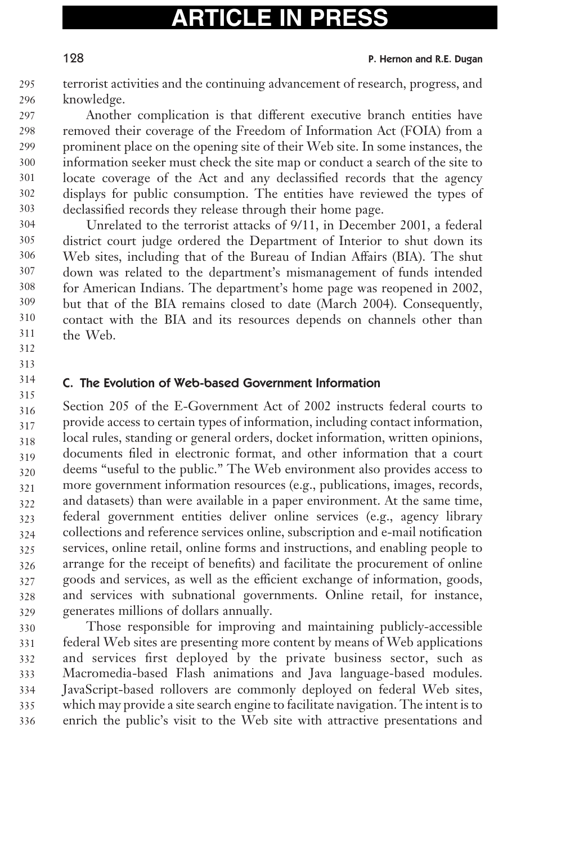#### 128 P. Hernon and R.E. Dugan

terrorist activities and the continuing advancement of research, progress, and knowledge. 295 296

Another complication is that different executive branch entities have removed their coverage of the Freedom of Information Act (FOIA) from a prominent place on the opening site of their Web site. In some instances, the information seeker must check the site map or conduct a search of the site to locate coverage of the Act and any declassified records that the agency displays for public consumption. The entities have reviewed the types of declassified records they release through their home page. 297 298 299 300 301 302 303

Unrelated to the terrorist attacks of 9/11, in December 2001, a federal district court judge ordered the Department of Interior to shut down its Web sites, including that of the Bureau of Indian Affairs (BIA). The shut down was related to the department's mismanagement of funds intended for American Indians. The department's home page was reopened in 2002, but that of the BIA remains closed to date (March 2004). Consequently, contact with the BIA and its resources depends on channels other than the Web. 304 305 306 307 308 309 310 311

- 312 313
- 314 315

#### C. The Evolution of Web-based Government Information

Section 205 of the E-Government Act of 2002 instructs federal courts to provide access to certain types of information, including contact information, local rules, standing or general orders, docket information, written opinions, documents filed in electronic format, and other information that a court deems "useful to the public." The Web environment also provides access to more government information resources (e.g., publications, images, records, and datasets) than were available in a paper environment. At the same time, federal government entities deliver online services (e.g., agency library collections and reference services online, subscription and e-mail notification services, online retail, online forms and instructions, and enabling people to arrange for the receipt of benefits) and facilitate the procurement of online goods and services, as well as the efficient exchange of information, goods, and services with subnational governments. Online retail, for instance, generates millions of dollars annually. 316 317 318 319 320 321 322 323 324 325 326 327 328 329

Those responsible for improving and maintaining publicly-accessible federal Web sites are presenting more content by means of Web applications and services first deployed by the private business sector, such as Macromedia-based Flash animations and Java language-based modules. JavaScript-based rollovers are commonly deployed on federal Web sites, which may provide a site search engine to facilitate navigation. The intent is to enrich the public's visit to the Web site with attractive presentations and 330 331 332 333 334 335 336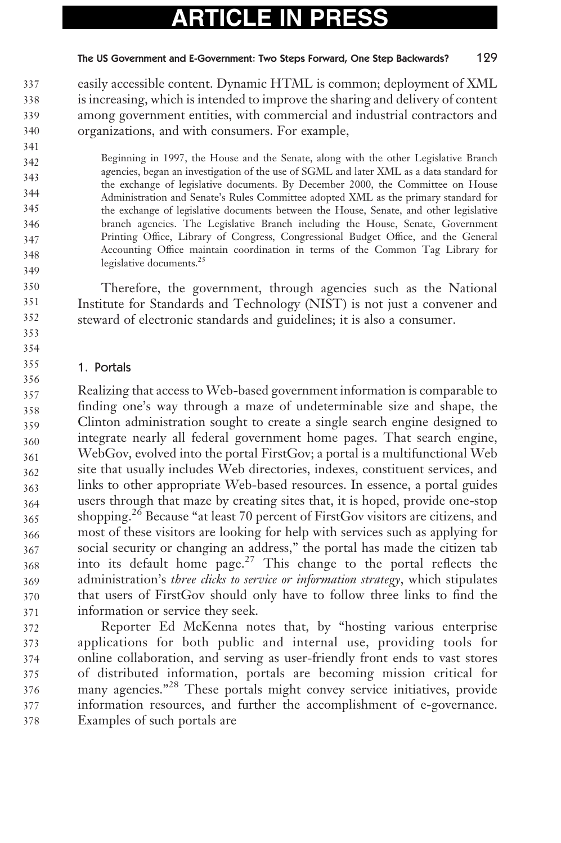### The US Government and E-Government: Two Steps Forward, One Step Backwards? 129

easily accessible content. Dynamic HTML is common; deployment of XML is increasing, which is intended to improve the sharing and delivery of content among government entities, with commercial and industrial contractors and organizations, and with consumers. For example, 337 338 339 340

Beginning in 1997, the House and the Senate, along with the other Legislative Branch agencies, began an investigation of the use of SGML and later XML as a data standard for the exchange of legislative documents. By December 2000, the Committee on House Administration and Senate's Rules Committee adopted XML as the primary standard for the exchange of legislative documents between the House, Senate, and other legislative branch agencies. The Legislative Branch including the House, Senate, Government Printing Office, Library of Congress, Congressional Budget Office, and the General Accounting Office maintain coordination in terms of the Common Tag Library for legislative documents.<sup>25</sup> 344 346 348 349

Therefore, the government, through agencies such as the National Institute for Standards and Technology (NIST) is not just a convener and steward of electronic standards and guidelines; it is also a consumer.

1. Portals 355

341 342 343

345

347

Realizing that access to Web-based government information is comparable to finding one's way through a maze of undeterminable size and shape, the Clinton administration sought to create a single search engine designed to integrate nearly all federal government home pages. That search engine, WebGov, evolved into the portal FirstGov; a portal is a multifunctional Web site that usually includes Web directories, indexes, constituent services, and links to other appropriate Web-based resources. In essence, a portal guides users through that maze by creating sites that, it is hoped, provide one-stop shopping.<sup>26</sup> Because "at least 70 percent of FirstGov visitors are citizens, and most of these visitors are looking for help with services such as applying for social security or changing an address," the portal has made the citizen tab into its default home page.<sup>27</sup> This change to the portal reflects the administration's *three clicks to service or information strategy*, which stipulates that users of FirstGov should only have to follow three links to find the information or service they seek. 356 357 358 359 360 361 362 363 364 365 366 367 368 369 370 371

Reporter Ed McKenna notes that, by "hosting various enterprise applications for both public and internal use, providing tools for online collaboration, and serving as user-friendly front ends to vast stores of distributed information, portals are becoming mission critical for many agencies."<sup>28</sup> These portals might convey service initiatives, provide information resources, and further the accomplishment of e-governance. Examples of such portals are 372 373 374 375 376 377 378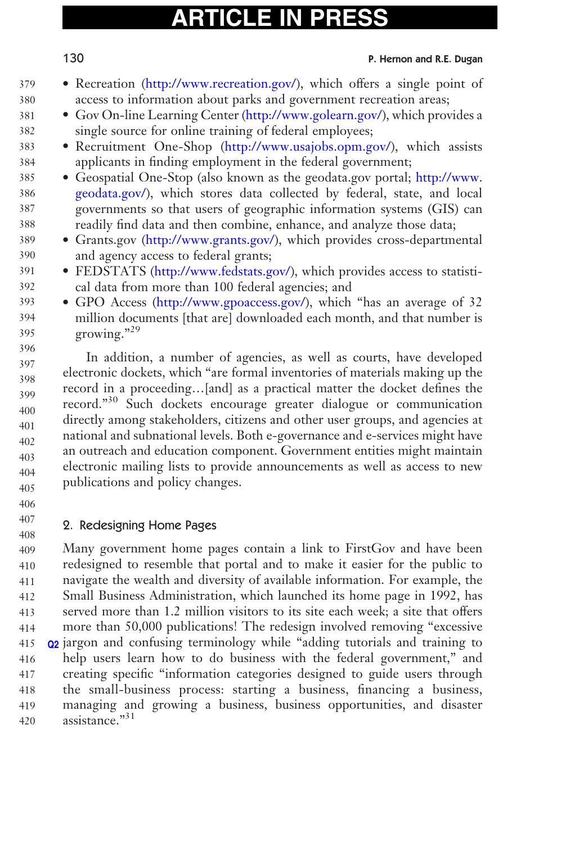- † Recreation ([http://www.recreation.gov/\)](http://www.recreation.gov/), which offers a single point of access to information about parks and government recreation areas; 379 380
- † Gov On-line Learning Center ([http://www.golearn.gov/\)](http://www.golearn.gov/), which provides a single source for online training of federal employees; 381 382

• Recruitment One-Shop ([http://www.usajobs.opm.gov/\)](http://www.usajobs.opm.gov/), which assists applicants in finding employment in the federal government; 383 384

- † Geospatial One-Stop (also known as the geodata.gov portal; [http://www.](http://www.geodata.gov/) [geodata.gov/](http://www.geodata.gov/)), which stores data collected by federal, state, and local governments so that users of geographic information systems (GIS) can readily find data and then combine, enhance, and analyze those data; 385 386 387 388
- † Grants.gov [\(http://www.grants.gov/](http://www.grants.gov/)), which provides cross-departmental and agency access to federal grants; 389 390
- FEDSTATS (<http://www.fedstats.gov/>), which provides access to statistical data from more than 100 federal agencies; and 391 392
- GPO Access [\(http://www.gpoaccess.gov/\)](http://www.gpoaccess.gov/), which "has an average of 32 million documents [that are] downloaded each month, and that number is growing."<sup>29</sup> 393 394 395

In addition, a number of agencies, as well as courts, have developed electronic dockets, which "are formal inventories of materials making up the record in a proceeding…[and] as a practical matter the docket defines the record."<sup>30</sup> Such dockets encourage greater dialogue or communication directly among stakeholders, citizens and other user groups, and agencies at national and subnational levels. Both e-governance and e-services might have an outreach and education component. Government entities might maintain electronic mailing lists to provide announcements as well as access to new publications and policy changes. 396 397 398 399 400 401 402 403 404 405

406 407

408

### 2. Redesigning Home Pages

Many government home pages contain a link to FirstGov and have been redesigned to resemble that portal and to make it easier for the public to navigate the wealth and diversity of available information. For example, the Small Business Administration, which launched its home page in 1992, has served more than 1.2 million visitors to its site each week; a site that offers more than 50,000 publications! The redesign involved removing "excessive Q2 jargon and confusing terminology while "adding tutorials and training to help users learn how to do business with the federal government," and creating specific "information categories designed to guide users through the small-business process: starting a business, financing a business, managing and growing a business, business opportunities, and disaster assistance."<sup>31</sup> 409 410 411 412 413 414 415 416 417 418 419 420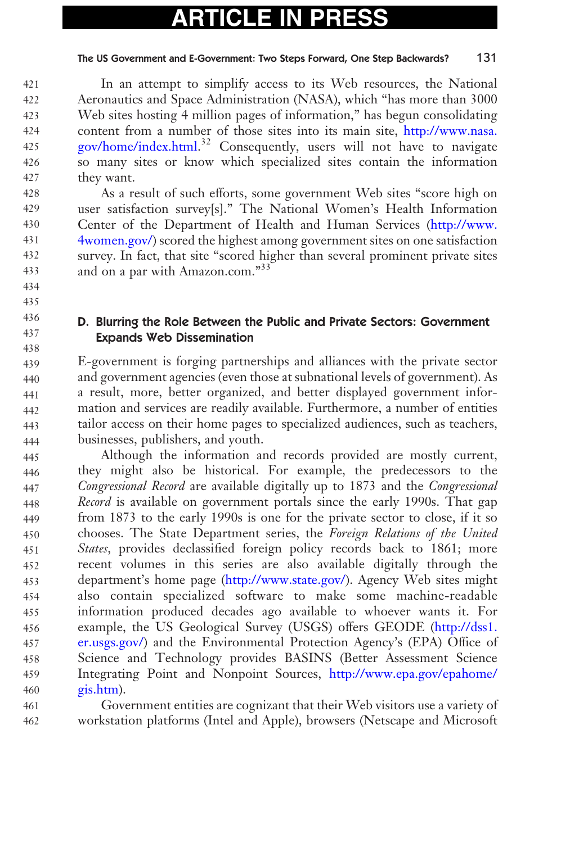#### The US Government and E-Government: Two Steps Forward, One Step Backwards? 131

In an attempt to simplify access to its Web resources, the National Aeronautics and Space Administration (NASA), which "has more than 3000 Web sites hosting 4 million pages of information," has begun consolidating content from a number of those sites into its main site, [http://www.nasa.](http://www.nasa.gov/home/index.html) [gov/home/index.html.](http://www.nasa.gov/home/index.html)<sup>32</sup> Consequently, users will not have to navigate so many sites or know which specialized sites contain the information they want. 421 422 423 424 425 426 427

As a result of such efforts, some government Web sites "score high on user satisfaction survey[s]." The National Women's Health Information Center of the Department of Health and Human Services [\(http://www.](http://www.4women.gov/) [4women.gov/](http://www.4women.gov/)) scored the highest among government sites on one satisfaction survey. In fact, that site "scored higher than several prominent private sites and on a par with Amazon.com."<sup>33</sup> 428 429 430 431 432 433

### D. Blurring the Role Between the Public and Private Sectors: Government Expands Web Dissemination

E-government is forging partnerships and alliances with the private sector and government agencies (even those at subnational levels of government). As a result, more, better organized, and better displayed government information and services are readily available. Furthermore, a number of entities tailor access on their home pages to specialized audiences, such as teachers, businesses, publishers, and youth. 438 439 440 441 442 443 444

Although the information and records provided are mostly current, they might also be historical. For example, the predecessors to the Congressional Record are available digitally up to 1873 and the Congressional Record is available on government portals since the early 1990s. That gap from 1873 to the early 1990s is one for the private sector to close, if it so chooses. The State Department series, the Foreign Relations of the United States, provides declassified foreign policy records back to 1861; more recent volumes in this series are also available digitally through the department's home page [\(http://www.state.gov/\)](http://www.state.gov/). Agency Web sites might also contain specialized software to make some machine-readable information produced decades ago available to whoever wants it. For example, the US Geological Survey (USGS) offers GEODE [\(http://dss1.](http://dss1.er.usgs.gov/) [er.usgs.gov/](http://dss1.er.usgs.gov/)) and the Environmental Protection Agency's (EPA) Office of Science and Technology provides BASINS (Better Assessment Science Integrating Point and Nonpoint Sources, [http://www.epa.gov/epahome/](http://www.epa.gov/epahome/gis.htm) [gis.htm](http://www.epa.gov/epahome/gis.htm)). 445 446 447 448 449 450 451 452 453 454 455 456 457 458 459 460

Government entities are cognizant that their Web visitors use a variety of workstation platforms (Intel and Apple), browsers (Netscape and Microsoft 461 462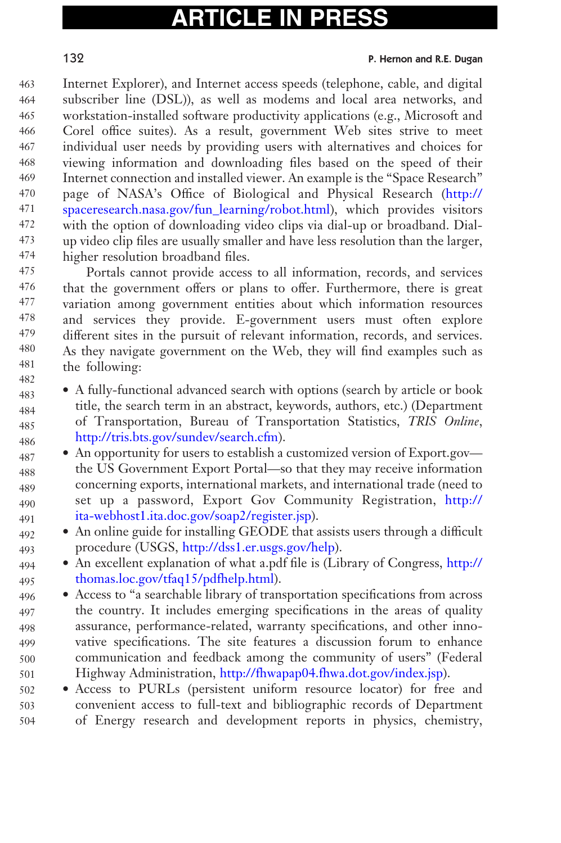#### 132 P. Hernon and R.E. Dugan

Internet Explorer), and Internet access speeds (telephone, cable, and digital subscriber line (DSL)), as well as modems and local area networks, and workstation-installed software productivity applications (e.g., Microsoft and Corel office suites). As a result, government Web sites strive to meet individual user needs by providing users with alternatives and choices for viewing information and downloading files based on the speed of their Internet connection and installed viewer. An example is the "Space Research" page of NASA's Office of Biological and Physical Research ([http://](http://spaceresearch.nasa.gov/fun_learning/robot.html) [spaceresearch.nasa.gov/fun\\_learning/robot.html\)](http://spaceresearch.nasa.gov/fun_learning/robot.html), which provides visitors with the option of downloading video clips via dial-up or broadband. Dialup video clip files are usually smaller and have less resolution than the larger, higher resolution broadband files. 463 464 465 466 467 468 469 470 471 472 473 474

Portals cannot provide access to all information, records, and services that the government offers or plans to offer. Furthermore, there is great variation among government entities about which information resources and services they provide. E-government users must often explore different sites in the pursuit of relevant information, records, and services. As they navigate government on the Web, they will find examples such as the following: 475 476 477 478 479 480 481

- † A fully-functional advanced search with options (search by article or book title, the search term in an abstract, keywords, authors, etc.) (Department of Transportation, Bureau of Transportation Statistics, TRIS Online, <http://tris.bts.gov/sundev/search.cfm>). 482 483 484 485 486
- An opportunity for users to establish a customized version of Export.gov the US Government Export Portal—so that they may receive information concerning exports, international markets, and international trade (need to set up a password, Export Gov Community Registration, [http://](http://ita-webhost1.ita.doc.gov/soap2/register.jsp) [ita-webhost1.ita.doc.gov/soap2/register.jsp](http://ita-webhost1.ita.doc.gov/soap2/register.jsp)). 487 488 489 490 491
- † An online guide for installing GEODE that assists users through a difficult procedure (USGS, <http://dss1.er.usgs.gov/help>). 492 493
	- † An excellent explanation of what a.pdf file is (Library of Congress, [http://](http://thomas.loc.gov/tfaq15/pdfhelp.html) [thomas.loc.gov/tfaq15/pdfhelp.html\)](http://thomas.loc.gov/tfaq15/pdfhelp.html).
- † Access to "a searchable library of transportation specifications from across the country. It includes emerging specifications in the areas of quality assurance, performance-related, warranty specifications, and other innovative specifications. The site features a discussion forum to enhance communication and feedback among the community of users" (Federal Highway Administration, [http://fhwapap04.fhwa.dot.gov/index.jsp\)](http://fhwapap04.fhwa.dot.gov/index.jsp). 496 497 498 499 500 501
- † Access to PURLs (persistent uniform resource locator) for free and convenient access to full-text and bibliographic records of Department of Energy research and development reports in physics, chemistry, 502 503 504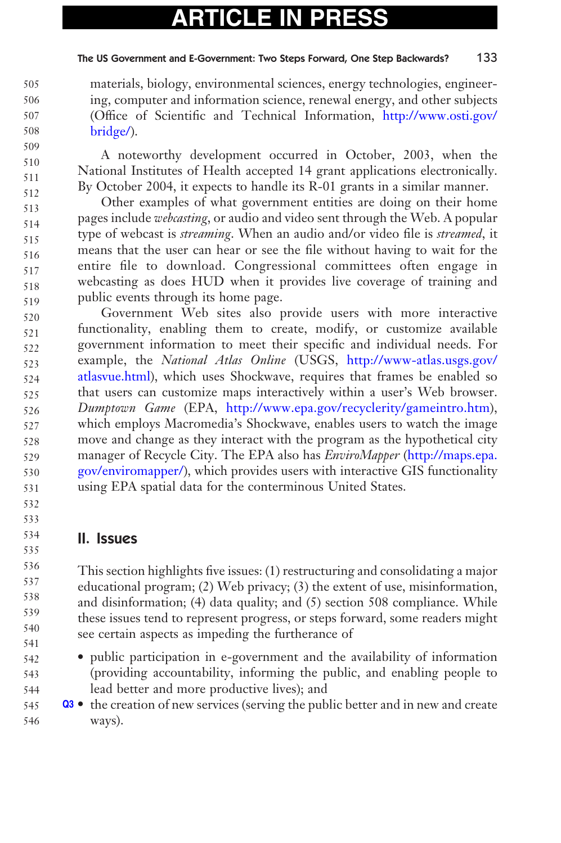### The US Government and E-Government: Two Steps Forward, One Step Backwards? 133

materials, biology, environmental sciences, energy technologies, engineering, computer and information science, renewal energy, and other subjects (Office of Scientific and Technical Information, [http://www.osti.gov/](http://www.osti.gov/bridge/) [bridge/](http://www.osti.gov/bridge/)). 505 506 507 508

A noteworthy development occurred in October, 2003, when the National Institutes of Health accepted 14 grant applications electronically. By October 2004, it expects to handle its R-01 grants in a similar manner. 509 510 511

Other examples of what government entities are doing on their home pages include *webcasting*, or audio and video sent through the Web. A popular type of webcast is *streaming*. When an audio and/or video file is *streamed*, it means that the user can hear or see the file without having to wait for the entire file to download. Congressional committees often engage in webcasting as does HUD when it provides live coverage of training and public events through its home page. 512 513 514 515 516 517 518 519

Government Web sites also provide users with more interactive functionality, enabling them to create, modify, or customize available government information to meet their specific and individual needs. For example, the National Atlas Online (USGS, [http://www-atlas.usgs.gov/](http://www-atlas.usgs.gov/atlasvue.html) [atlasvue.html\)](http://www-atlas.usgs.gov/atlasvue.html), which uses Shockwave, requires that frames be enabled so that users can customize maps interactively within a user's Web browser. Dumptown Game (EPA, [http://www.epa.gov/recyclerity/gameintro.htm\)](http://www.epa.gov/recyclerity/gameintro.htm), which employs Macromedia's Shockwave, enables users to watch the image move and change as they interact with the program as the hypothetical city manager of Recycle City. The EPA also has *EnviroMapper* [\(http://maps.epa.](http://maps.epa.gov/enviromapper/) [gov/enviromapper/](http://maps.epa.gov/enviromapper/)), which provides users with interactive GIS functionality using EPA spatial data for the conterminous United States. 520 521 522 523 524 525 526 527 528 529 530 531

II. Issues

This section highlights five issues: (1) restructuring and consolidating a major educational program; (2) Web privacy; (3) the extent of use, misinformation, and disinformation; (4) data quality; and (5) section 508 compliance. While these issues tend to represent progress, or steps forward, some readers might see certain aspects as impeding the furtherance of 536 537 538 539 540 541

- public participation in e-government and the availability of information (providing accountability, informing the public, and enabling people to lead better and more productive lives); and 542 543 544
- Q3 the creation of new services (serving the public better and in new and create ways). 545 546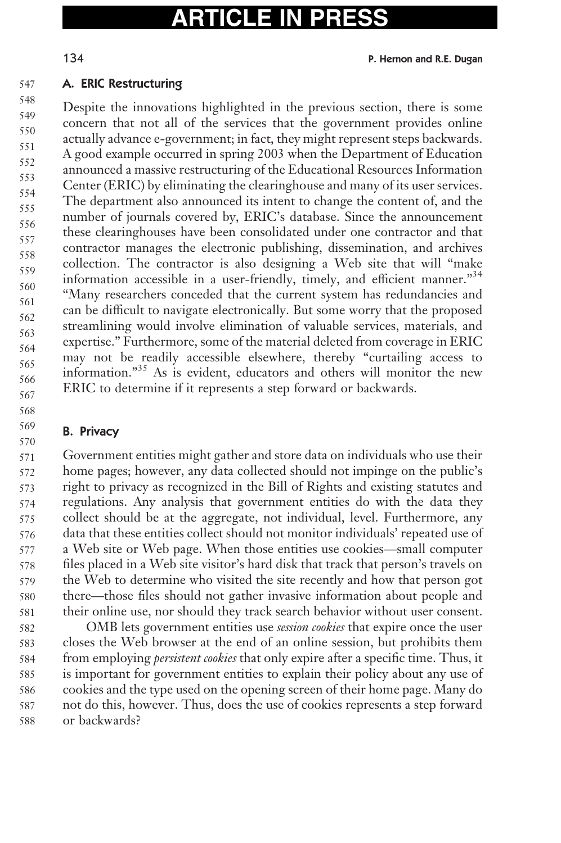#### A. ERIC Restructuring 547

Despite the innovations highlighted in the previous section, there is some concern that not all of the services that the government provides online actually advance e-government; in fact, they might represent steps backwards. A good example occurred in spring 2003 when the Department of Education announced a massive restructuring of the Educational Resources Information Center (ERIC) by eliminating the clearinghouse and many of its user services. The department also announced its intent to change the content of, and the number of journals covered by, ERIC's database. Since the announcement these clearinghouses have been consolidated under one contractor and that contractor manages the electronic publishing, dissemination, and archives collection. The contractor is also designing a Web site that will "make information accessible in a user-friendly, timely, and efficient manner."<sup>34</sup> "Many researchers conceded that the current system has redundancies and can be difficult to navigate electronically. But some worry that the proposed streamlining would involve elimination of valuable services, materials, and expertise." Furthermore, some of the material deleted from coverage in ERIC may not be readily accessible elsewhere, thereby "curtailing access to information."<sup>35</sup> As is evident, educators and others will monitor the new ERIC to determine if it represents a step forward or backwards. 548 549 550 551 552 553 554 555 556 557 558 559 560 561 562 563 564 565 566 567

#### B. Privacy 569 570

568

Government entities might gather and store data on individuals who use their home pages; however, any data collected should not impinge on the public's right to privacy as recognized in the Bill of Rights and existing statutes and regulations. Any analysis that government entities do with the data they collect should be at the aggregate, not individual, level. Furthermore, any data that these entities collect should not monitor individuals' repeated use of a Web site or Web page. When those entities use cookies—small computer files placed in a Web site visitor's hard disk that track that person's travels on the Web to determine who visited the site recently and how that person got there—those files should not gather invasive information about people and their online use, nor should they track search behavior without user consent. 571 572 573 574 575 576 577 578 579 580 581

OMB lets government entities use session cookies that expire once the user closes the Web browser at the end of an online session, but prohibits them from employing persistent cookies that only expire after a specific time. Thus, it is important for government entities to explain their policy about any use of cookies and the type used on the opening screen of their home page. Many do not do this, however. Thus, does the use of cookies represents a step forward or backwards? 582 583 584 585 586 587 588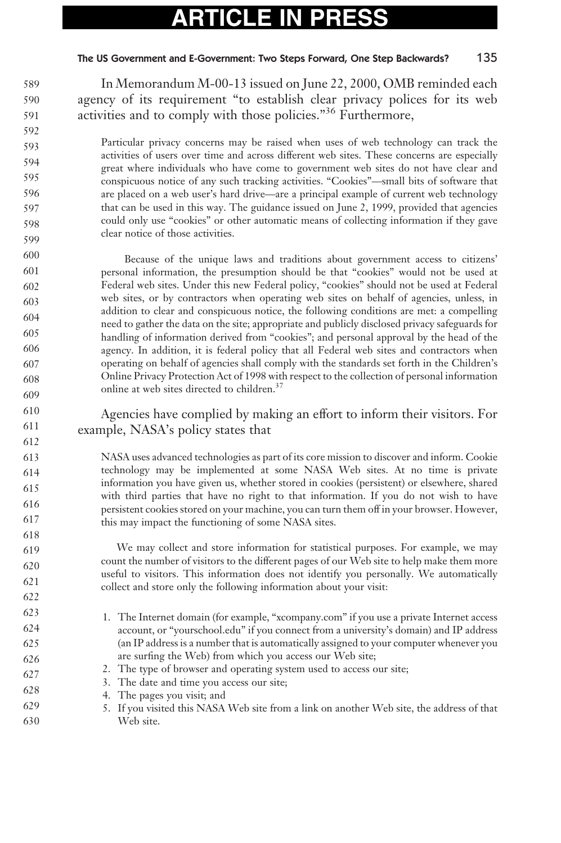### The US Government and E-Government: Two Steps Forward, One Step Backwards? 135

In Memorandum M-00-13 issued on June 22, 2000, OMB reminded each agency of its requirement "to establish clear privacy polices for its web activities and to comply with those policies."<sup>36</sup> Furthermore, 589 590 591

Particular privacy concerns may be raised when uses of web technology can track the activities of users over time and across different web sites. These concerns are especially great where individuals who have come to government web sites do not have clear and conspicuous notice of any such tracking activities. "Cookies"—small bits of software that are placed on a web user's hard drive—are a principal example of current web technology that can be used in this way. The guidance issued on June 2, 1999, provided that agencies could only use "cookies" or other automatic means of collecting information if they gave clear notice of those activities.

Because of the unique laws and traditions about government access to citizens' personal information, the presumption should be that "cookies" would not be used at Federal web sites. Under this new Federal policy, "cookies" should not be used at Federal web sites, or by contractors when operating web sites on behalf of agencies, unless, in addition to clear and conspicuous notice, the following conditions are met: a compelling need to gather the data on the site; appropriate and publicly disclosed privacy safeguards for handling of information derived from "cookies"; and personal approval by the head of the agency. In addition, it is federal policy that all Federal web sites and contractors when operating on behalf of agencies shall comply with the standards set forth in the Children's Online Privacy Protection Act of 1998 with respect to the collection of personal information online at web sites directed to children.<sup>37</sup> 600 601 602 603 604 605 606 607 608 609

Agencies have complied by making an effort to inform their visitors. For example, NASA's policy states that 610 611 612

> NASA uses advanced technologies as part of its core mission to discover and inform. Cookie technology may be implemented at some NASA Web sites. At no time is private information you have given us, whether stored in cookies (persistent) or elsewhere, shared with third parties that have no right to that information. If you do not wish to have persistent cookies stored on your machine, you can turn them off in your browser. However, this may impact the functioning of some NASA sites.

We may collect and store information for statistical purposes. For example, we may count the number of visitors to the different pages of our Web site to help make them more useful to visitors. This information does not identify you personally. We automatically collect and store only the following information about your visit:

- 1. The Internet domain (for example, "xcompany.com" if you use a private Internet access account, or "yourschool.edu" if you connect from a university's domain) and IP address (an IP address is a number that is automatically assigned to your computer whenever you are surfing the Web) from which you access our Web site;
	- 2. The type of browser and operating system used to access our site;
	- 3. The date and time you access our site;
- 4. The pages you visit; and 628

5. If you visited this NASA Web site from a link on another Web site, the address of that Web site. 629 630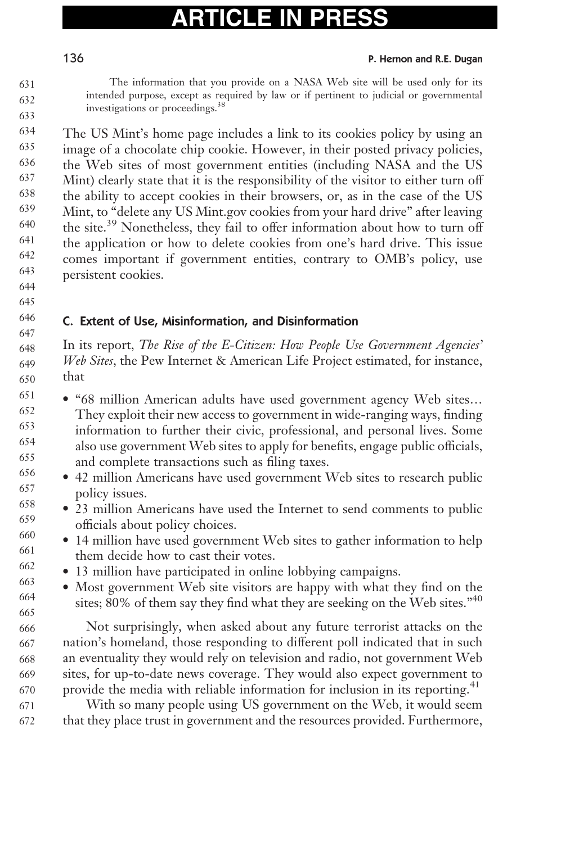#### 136 P. Hernon and R.E. Dugan

The information that you provide on a NASA Web site will be used only for its intended purpose, except as required by law or if pertinent to judicial or governmental investigations or proceedings.38

The US Mint's home page includes a link to its cookies policy by using an image of a chocolate chip cookie. However, in their posted privacy policies, the Web sites of most government entities (including NASA and the US Mint) clearly state that it is the responsibility of the visitor to either turn off the ability to accept cookies in their browsers, or, as in the case of the US Mint, to "delete any US Mint.gov cookies from your hard drive" after leaving the site.<sup>39</sup> Nonetheless, they fail to offer information about how to turn off the application or how to delete cookies from one's hard drive. This issue comes important if government entities, contrary to OMB's policy, use persistent cookies. 634 635 636 637 638 639 640 641 642 643

644 645 646

631 632 633

### C. Extent of Use, Misinformation, and Disinformation

In its report, The Rise of the E-Citizen: How People Use Government Agencies' Web Sites, the Pew Internet & American Life Project estimated, for instance, that 647 648 649 650

- † "68 million American adults have used government agency Web sites… They exploit their new access to government in wide-ranging ways, finding information to further their civic, professional, and personal lives. Some also use government Web sites to apply for benefits, engage public officials, and complete transactions such as filing taxes. 651 652 653 654 655
- † 42 million Americans have used government Web sites to research public policy issues. 656 657
- 23 million Americans have used the Internet to send comments to public officials about policy choices. 658 659
- † 14 million have used government Web sites to gather information to help them decide how to cast their votes. 660 661 662
	- † 13 million have participated in online lobbying campaigns.

• Most government Web site visitors are happy with what they find on the sites; 80% of them say they find what they are seeking on the Web sites. $140$ 663 664 665

Not surprisingly, when asked about any future terrorist attacks on the nation's homeland, those responding to different poll indicated that in such an eventuality they would rely on television and radio, not government Web sites, for up-to-date news coverage. They would also expect government to provide the media with reliable information for inclusion in its reporting.<sup>41</sup> 666 667 668 669 670

With so many people using US government on the Web, it would seem that they place trust in government and the resources provided. Furthermore, 671 672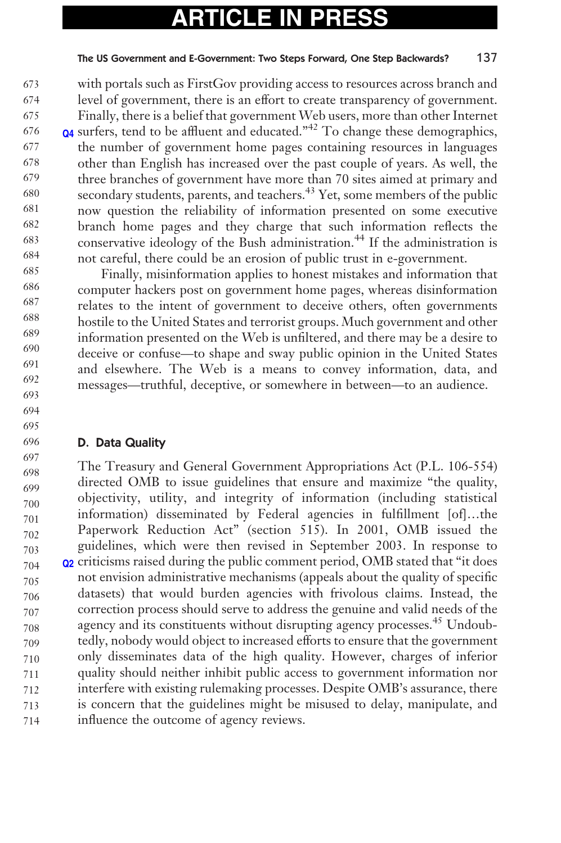#### The US Government and E-Government: Two Steps Forward, One Step Backwards? 137

with portals such as FirstGov providing access to resources across branch and level of government, there is an effort to create transparency of government. Finally, there is a belief that government Web users, more than other Internet  $\alpha$ 4 surfers, tend to be affluent and educated."<sup>42</sup> To change these demographics, the number of government home pages containing resources in languages other than English has increased over the past couple of years. As well, the three branches of government have more than 70 sites aimed at primary and secondary students, parents, and teachers.<sup>43</sup> Yet, some members of the public now question the reliability of information presented on some executive branch home pages and they charge that such information reflects the conservative ideology of the Bush administration.<sup>44</sup> If the administration is not careful, there could be an erosion of public trust in e-government. 673 674 675 676 677 678 679 680 681 682 683 684 685

Finally, misinformation applies to honest mistakes and information that computer hackers post on government home pages, whereas disinformation relates to the intent of government to deceive others, often governments hostile to the United States and terrorist groups. Much government and other information presented on the Web is unfiltered, and there may be a desire to deceive or confuse—to shape and sway public opinion in the United States and elsewhere. The Web is a means to convey information, data, and messages—truthful, deceptive, or somewhere in between—to an audience.

### D. Data Quality

The Treasury and General Government Appropriations Act (P.L. 106-554) directed OMB to issue guidelines that ensure and maximize "the quality, objectivity, utility, and integrity of information (including statistical information) disseminated by Federal agencies in fulfillment [of]…the Paperwork Reduction Act" (section 515). In 2001, OMB issued the guidelines, which were then revised in September 2003. In response to Q2 criticisms raised during the public comment period, OMB stated that "it does not envision administrative mechanisms (appeals about the quality of specific datasets) that would burden agencies with frivolous claims. Instead, the correction process should serve to address the genuine and valid needs of the agency and its constituents without disrupting agency processes.<sup>45</sup> Undoubtedly, nobody would object to increased efforts to ensure that the government only disseminates data of the high quality. However, charges of inferior quality should neither inhibit public access to government information nor interfere with existing rulemaking processes. Despite OMB's assurance, there is concern that the guidelines might be misused to delay, manipulate, and influence the outcome of agency reviews. 697 698 699 700 701 702 703 704 705 706 707 708 709 710 711 712 713 714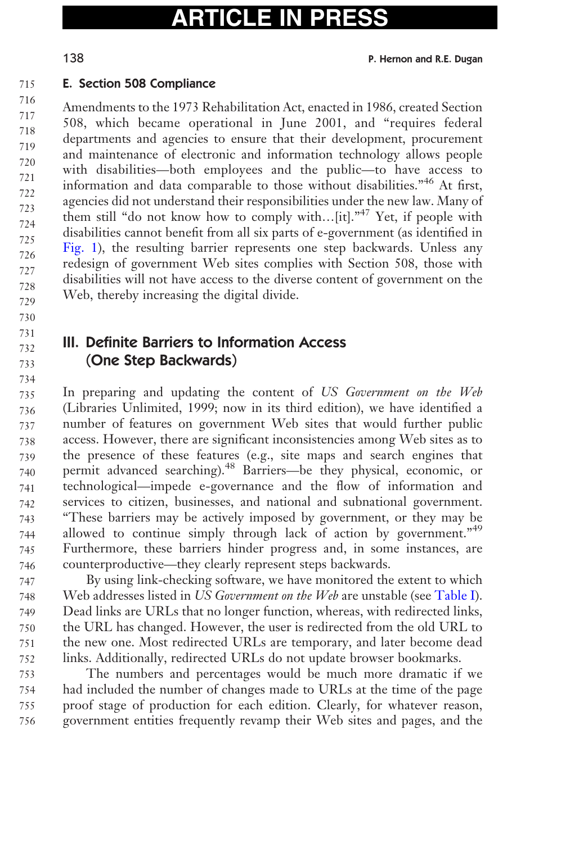#### 138 P. Hernon and R.E. Dugan

#### E. Section 508 Compliance 715

Amendments to the 1973 Rehabilitation Act, enacted in 1986, created Section 508, which became operational in June 2001, and "requires federal departments and agencies to ensure that their development, procurement and maintenance of electronic and information technology allows people with disabilities—both employees and the public—to have access to information and data comparable to those without disabilities."<sup>46</sup> At first, agencies did not understand their responsibilities under the new law. Many of them still "do not know how to comply with... [it]."<sup>47</sup> Yet, if people with disabilities cannot benefit from all six parts of e-government (as identified in [Fig. 1](#page-3-0)), the resulting barrier represents one step backwards. Unless any redesign of government Web sites complies with Section 508, those with disabilities will not have access to the diverse content of government on the Web, thereby increasing the digital divide. 716 717 718 719 720 721 722 723 724 725 726 727 728 729

### III. Definite Barriers to Information Access (One Step Backwards)

In preparing and updating the content of US Government on the Web (Libraries Unlimited, 1999; now in its third edition), we have identified a number of features on government Web sites that would further public access. However, there are significant inconsistencies among Web sites as to the presence of these features (e.g., site maps and search engines that permit advanced searching).<sup>48</sup> Barriers—be they physical, economic, or technological—impede e-governance and the flow of information and services to citizen, businesses, and national and subnational government. "These barriers may be actively imposed by government, or they may be allowed to continue simply through lack of action by government."<sup>49</sup> Furthermore, these barriers hinder progress and, in some instances, are counterproductive—they clearly represent steps backwards. 735 736 737 738 739 740 741 742 743 744 745 746

By using link-checking software, we have monitored the extent to which Web addresses listed in US Government on the Web are unstable (see [Table I](#page-18-0)). Dead links are URLs that no longer function, whereas, with redirected links, the URL has changed. However, the user is redirected from the old URL to the new one. Most redirected URLs are temporary, and later become dead links. Additionally, redirected URLs do not update browser bookmarks. 747 748 749 750 751 752

The numbers and percentages would be much more dramatic if we had included the number of changes made to URLs at the time of the page proof stage of production for each edition. Clearly, for whatever reason, government entities frequently revamp their Web sites and pages, and the 753 754 755 756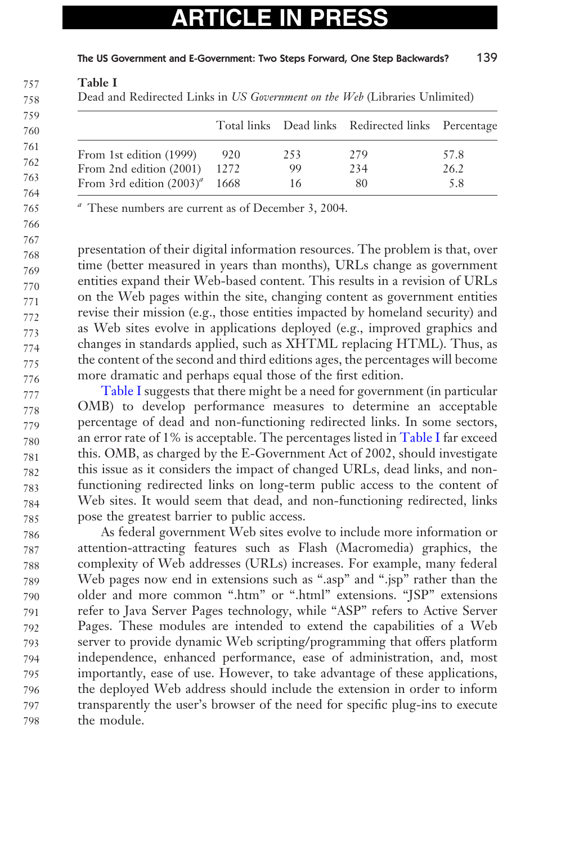## **TIGLE IN PRES**

#### The US Government and E-Government: Two Steps Forward, One Step Backwards? 139

|                               |      |     | Total links Dead links Redirected links Percentage |      |
|-------------------------------|------|-----|----------------------------------------------------|------|
| From 1st edition (1999)       | 920  | 253 | 279                                                | 57.8 |
| From 2nd edition (2001)       | 1272 | 99  | 234                                                | 26.2 |
| From 3rd edition $(2003)^{a}$ | 1668 | 16  | 80                                                 | 5.8  |

Dead and Redirected Links in *US Government on the Web* (Libraries Unlimited)

<sup>a</sup> These numbers are current as of December 3, 2004.

Table I

<span id="page-18-0"></span>757

765 766

presentation of their digital information resources. The problem is that, over time (better measured in years than months), URLs change as government entities expand their Web-based content. This results in a revision of URLs on the Web pages within the site, changing content as government entities revise their mission (e.g., those entities impacted by homeland security) and as Web sites evolve in applications deployed (e.g., improved graphics and changes in standards applied, such as XHTML replacing HTML). Thus, as the content of the second and third editions ages, the percentages will become more dramatic and perhaps equal those of the first edition. 767 768 769 770 771 772 773 774 775 776

Table I suggests that there might be a need for government (in particular OMB) to develop performance measures to determine an acceptable percentage of dead and non-functioning redirected links. In some sectors, an error rate of 1% is acceptable. The percentages listed in Table I far exceed this. OMB, as charged by the E-Government Act of 2002, should investigate this issue as it considers the impact of changed URLs, dead links, and nonfunctioning redirected links on long-term public access to the content of Web sites. It would seem that dead, and non-functioning redirected, links pose the greatest barrier to public access. 777 778 779 780 781 782 783 784 785

As federal government Web sites evolve to include more information or attention-attracting features such as Flash (Macromedia) graphics, the complexity of Web addresses (URLs) increases. For example, many federal Web pages now end in extensions such as ".asp" and ".jsp" rather than the older and more common ".htm" or ".html" extensions. "JSP" extensions refer to Java Server Pages technology, while "ASP" refers to Active Server Pages. These modules are intended to extend the capabilities of a Web server to provide dynamic Web scripting/programming that offers platform independence, enhanced performance, ease of administration, and, most importantly, ease of use. However, to take advantage of these applications, the deployed Web address should include the extension in order to inform transparently the user's browser of the need for specific plug-ins to execute the module. 786 787 788 789 790 791 792 793 794 795 796 797 798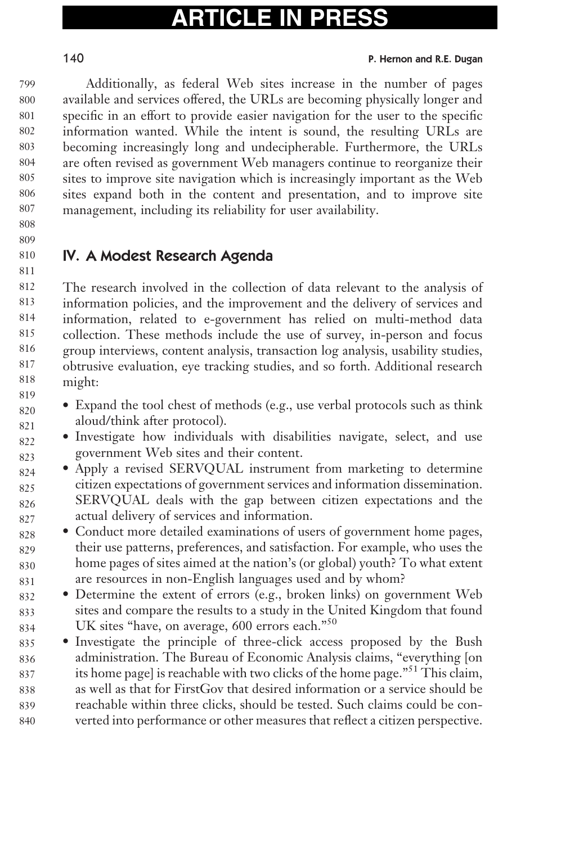Additionally, as federal Web sites increase in the number of pages available and services offered, the URLs are becoming physically longer and specific in an effort to provide easier navigation for the user to the specific information wanted. While the intent is sound, the resulting URLs are becoming increasingly long and undecipherable. Furthermore, the URLs are often revised as government Web managers continue to reorganize their sites to improve site navigation which is increasingly important as the Web sites expand both in the content and presentation, and to improve site management, including its reliability for user availability. 799 800 801 802 803 804 805 806 807 808

809 810

#### IV. A Modest Research Agenda 811

The research involved in the collection of data relevant to the analysis of information policies, and the improvement and the delivery of services and information, related to e-government has relied on multi-method data collection. These methods include the use of survey, in-person and focus group interviews, content analysis, transaction log analysis, usability studies, obtrusive evaluation, eye tracking studies, and so forth. Additional research might: 812 813 814 815 816 817 818 819

- Expand the tool chest of methods (e.g., use verbal protocols such as think aloud/think after protocol). 820 821
- Investigate how individuals with disabilities navigate, select, and use government Web sites and their content. 822 823
- † Apply a revised SERVQUAL instrument from marketing to determine citizen expectations of government services and information dissemination. SERVQUAL deals with the gap between citizen expectations and the actual delivery of services and information. 824 825 826 827
- † Conduct more detailed examinations of users of government home pages, their use patterns, preferences, and satisfaction. For example, who uses the home pages of sites aimed at the nation's (or global) youth? To what extent are resources in non-English languages used and by whom? 828 829 830 831
- † Determine the extent of errors (e.g., broken links) on government Web sites and compare the results to a study in the United Kingdom that found UK sites "have, on average, 600 errors each."<sup>50</sup> 832 833 834
- † Investigate the principle of three-click access proposed by the Bush administration. The Bureau of Economic Analysis claims, "everything [on its home page] is reachable with two clicks of the home page."51 This claim, as well as that for FirstGov that desired information or a service should be reachable within three clicks, should be tested. Such claims could be converted into performance or other measures that reflect a citizen perspective. 835 836 837 838 839 840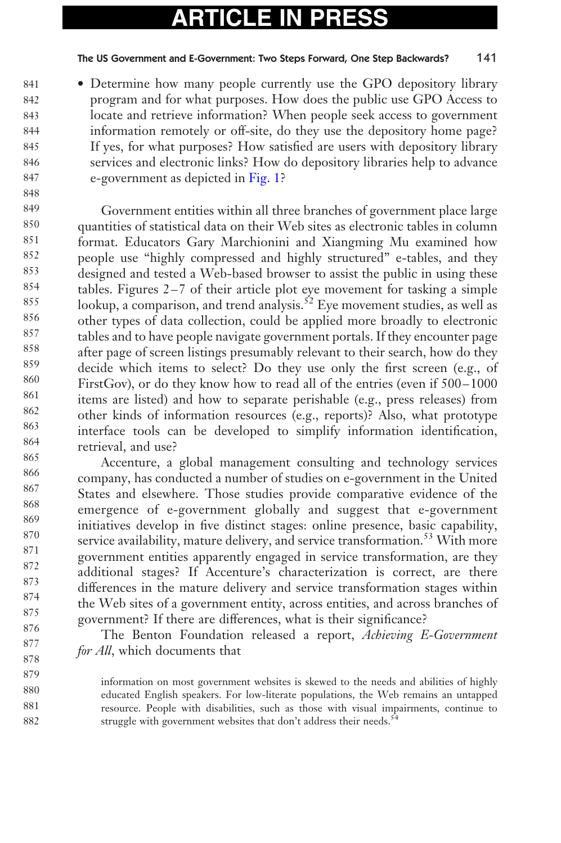### The US Government and E-Government: Two Steps Forward, One Step Backwards? 141

- Determine how many people currently use the GPO depository library program and for what purposes. How does the public use GPO Access to locate and retrieve information? When people seek access to government information remotely or off-site, do they use the depository home page? If yes, for what purposes? How satisfied are users with depository library services and electronic links? How do depository libraries help to advance e-government as depicted in [Fig. 1?](#page-3-0) 841 842 843 844 845 846 847
- 848

Government entities within all three branches of government place large quantities of statistical data on their Web sites as electronic tables in column format. Educators Gary Marchionini and Xiangming Mu examined how people use "highly compressed and highly structured" e-tables, and they designed and tested a Web-based browser to assist the public in using these tables. Figures  $2-7$  of their article plot eye movement for tasking a simple lookup, a comparison, and trend analysis.<sup>52</sup> Eye movement studies, as well as other types of data collection, could be applied more broadly to electronic tables and to have people navigate government portals. If they encounter page after page of screen listings presumably relevant to their search, how do they decide which items to select? Do they use only the first screen (e.g., of FirstGov), or do they know how to read all of the entries (even if 500–1000 items are listed) and how to separate perishable (e.g., press releases) from other kinds of information resources (e.g., reports)? Also, what prototype interface tools can be developed to simplify information identification, retrieval, and use? 849 850 851 852 853 854 855 856 857 858 859 860 861 862 863 864

Accenture, a global management consulting and technology services company, has conducted a number of studies on e-government in the United States and elsewhere. Those studies provide comparative evidence of the emergence of e-government globally and suggest that e-government initiatives develop in five distinct stages: online presence, basic capability, service availability, mature delivery, and service transformation.<sup>53</sup> With more government entities apparently engaged in service transformation, are they additional stages? If Accenture's characterization is correct, are there differences in the mature delivery and service transformation stages within the Web sites of a government entity, across entities, and across branches of government? If there are differences, what is their significance? 865 866 867 868 869 870 871 872 873 874 875 876

The Benton Foundation released a report, Achieving E-Government for All, which documents that

information on most government websites is skewed to the needs and abilities of highly educated English speakers. For low-literate populations, the Web remains an untapped resource. People with disabilities, such as those with visual impairments, continue to struggle with government websites that don't address their needs.<sup>54</sup>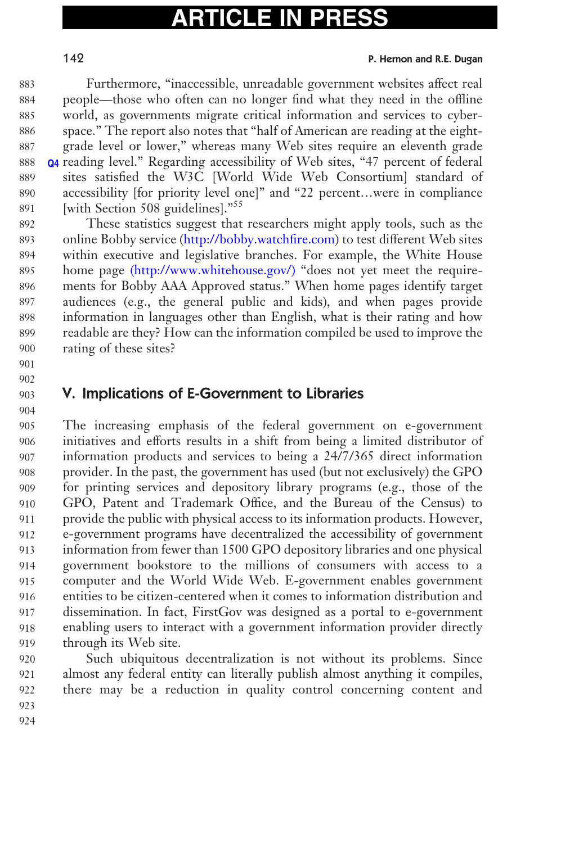Furthermore, "inaccessible, unreadable government websites affect real people—those who often can no longer find what they need in the offline world, as governments migrate critical information and services to cyberspace." The report also notes that "half of American are reading at the eightgrade level or lower," whereas many Web sites require an eleventh grade Q4 reading level." Regarding accessibility of Web sites, "47 percent of federal sites satisfied the W3C [World Wide Web Consortium] standard of accessibility [for priority level one]" and "22 percent…were in compliance [with Section 508 guidelines]."<sup>55</sup> 883 884 885 886 887 888 889 890 891

These statistics suggest that researchers might apply tools, such as the online Bobby service [\(http://bobby.watchfire.com\)](http://bobby.watchfire.com) to test different Web sites within executive and legislative branches. For example, the White House home page [\(http://www.whitehouse.gov/\)](http://www.whitehouse.gov/) "does not yet meet the requirements for Bobby AAA Approved status." When home pages identify target audiences (e.g., the general public and kids), and when pages provide information in languages other than English, what is their rating and how readable are they? How can the information compiled be used to improve the rating of these sites? 892 893 894 895 896 897 898 899 900

- 901
- 902 903

904

### V. Implications of E-Government to Libraries

The increasing emphasis of the federal government on e-government initiatives and efforts results in a shift from being a limited distributor of information products and services to being a 24/7/365 direct information provider. In the past, the government has used (but not exclusively) the GPO for printing services and depository library programs (e.g., those of the GPO, Patent and Trademark Office, and the Bureau of the Census) to provide the public with physical access to its information products. However, e-government programs have decentralized the accessibility of government information from fewer than 1500 GPO depository libraries and one physical government bookstore to the millions of consumers with access to a computer and the World Wide Web. E-government enables government entities to be citizen-centered when it comes to information distribution and dissemination. In fact, FirstGov was designed as a portal to e-government enabling users to interact with a government information provider directly through its Web site. 905 906 907 908 909 910 911 912 913 914 915 916 917 918 919

Such ubiquitous decentralization is not without its problems. Since almost any federal entity can literally publish almost anything it compiles, there may be a reduction in quality control concerning content and 920 921 922 923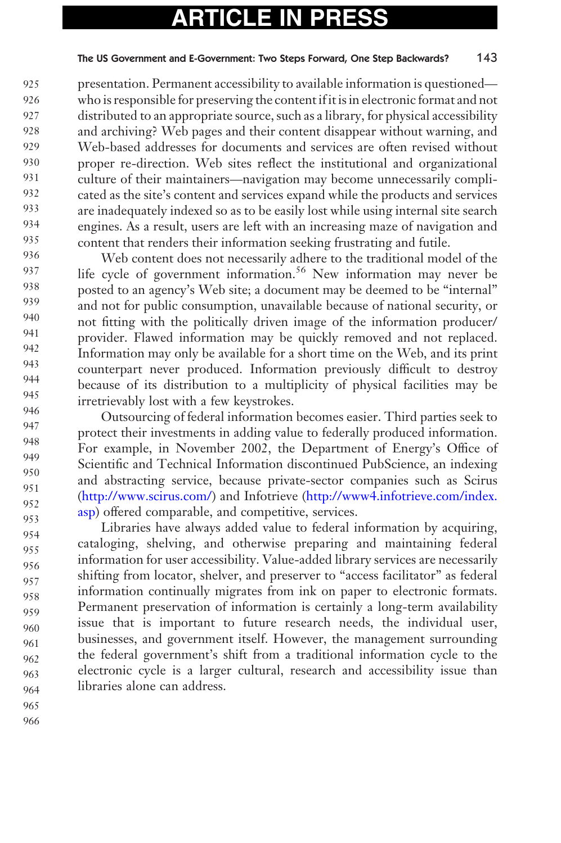### The US Government and E-Government: Two Steps Forward, One Step Backwards? 143

presentation. Permanent accessibility to available information is questioned who is responsible for preserving the content if it is in electronic format and not distributed to an appropriate source, such as a library, for physical accessibility and archiving? Web pages and their content disappear without warning, and Web-based addresses for documents and services are often revised without proper re-direction. Web sites reflect the institutional and organizational culture of their maintainers—navigation may become unnecessarily complicated as the site's content and services expand while the products and services are inadequately indexed so as to be easily lost while using internal site search engines. As a result, users are left with an increasing maze of navigation and content that renders their information seeking frustrating and futile. 925 926 927 928 929 930 931 932 933 934 935

Web content does not necessarily adhere to the traditional model of the life cycle of government information.<sup>56</sup> New information may never be posted to an agency's Web site; a document may be deemed to be "internal" and not for public consumption, unavailable because of national security, or not fitting with the politically driven image of the information producer/ provider. Flawed information may be quickly removed and not replaced. Information may only be available for a short time on the Web, and its print counterpart never produced. Information previously difficult to destroy because of its distribution to a multiplicity of physical facilities may be irretrievably lost with a few keystrokes. 936 937 938 939 940 941 942 943 944 945

Outsourcing of federal information becomes easier. Third parties seek to protect their investments in adding value to federally produced information. For example, in November 2002, the Department of Energy's Office of Scientific and Technical Information discontinued PubScience, an indexing and abstracting service, because private-sector companies such as Scirus ([http://www.scirus.com/\)](http://www.scirus.com/) and Infotrieve [\(http://www4.infotrieve.com/index.](http://www4.infotrieve.com/index.asp) [asp](http://www4.infotrieve.com/index.asp)) offered comparable, and competitive, services. 946 947 948 949 950 951 952 953

Libraries have always added value to federal information by acquiring, cataloging, shelving, and otherwise preparing and maintaining federal information for user accessibility. Value-added library services are necessarily shifting from locator, shelver, and preserver to "access facilitator" as federal information continually migrates from ink on paper to electronic formats. Permanent preservation of information is certainly a long-term availability issue that is important to future research needs, the individual user, businesses, and government itself. However, the management surrounding the federal government's shift from a traditional information cycle to the electronic cycle is a larger cultural, research and accessibility issue than libraries alone can address. 954 955 956 957 958 959 960 961 962 963 964

- 965
- 966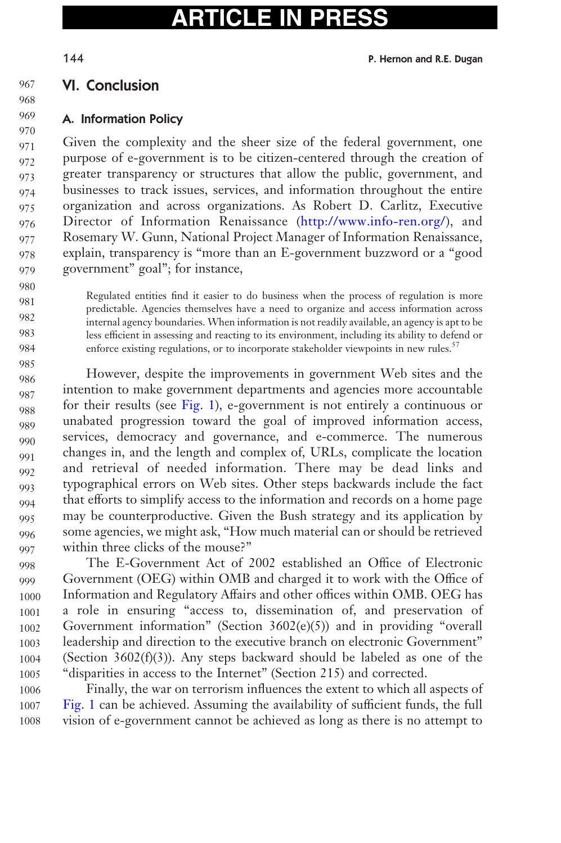144 P. Hernon and R.E. Dugan

#### VI. Conclusion 967

#### A. Information Policy 969 970

Given the complexity and the sheer size of the federal government, one purpose of e-government is to be citizen-centered through the creation of greater transparency or structures that allow the public, government, and businesses to track issues, services, and information throughout the entire organization and across organizations. As Robert D. Carlitz, Executive Director of Information Renaissance [\(http://www.info-ren.org/\)](http://www.info-ren.org/), and Rosemary W. Gunn, National Project Manager of Information Renaissance, explain, transparency is "more than an E-government buzzword or a "good government" goal"; for instance, 971 972 973 974 975 976 977 978 979

Regulated entities find it easier to do business when the process of regulation is more predictable. Agencies themselves have a need to organize and access information across internal agency boundaries. When information is not readily available, an agency is apt to be less efficient in assessing and reacting to its environment, including its ability to defend or enforce existing regulations, or to incorporate stakeholder viewpoints in new rules.<sup>57</sup> 980 983 984

However, despite the improvements in government Web sites and the intention to make government departments and agencies more accountable for their results (see [Fig. 1](#page-3-0)), e-government is not entirely a continuous or unabated progression toward the goal of improved information access, services, democracy and governance, and e-commerce. The numerous changes in, and the length and complex of, URLs, complicate the location and retrieval of needed information. There may be dead links and typographical errors on Web sites. Other steps backwards include the fact that efforts to simplify access to the information and records on a home page may be counterproductive. Given the Bush strategy and its application by some agencies, we might ask, "How much material can or should be retrieved within three clicks of the mouse?" 985 986 987 988 989 990 991 992 993 994 995 996 997

The E-Government Act of 2002 established an Office of Electronic Government (OEG) within OMB and charged it to work with the Office of Information and Regulatory Affairs and other offices within OMB. OEG has a role in ensuring "access to, dissemination of, and preservation of Government information" (Section 3602(e)(5)) and in providing "overall leadership and direction to the executive branch on electronic Government" (Section  $3602(f)(3)$ ). Any steps backward should be labeled as one of the "disparities in access to the Internet" (Section 215) and corrected. 998 999 1000 1001 1002 1003 1004 1005

Finally, the war on terrorism influences the extent to which all aspects of [Fig. 1](#page-3-0) can be achieved. Assuming the availability of sufficient funds, the full vision of e-government cannot be achieved as long as there is no attempt to 1006 1007 1008

968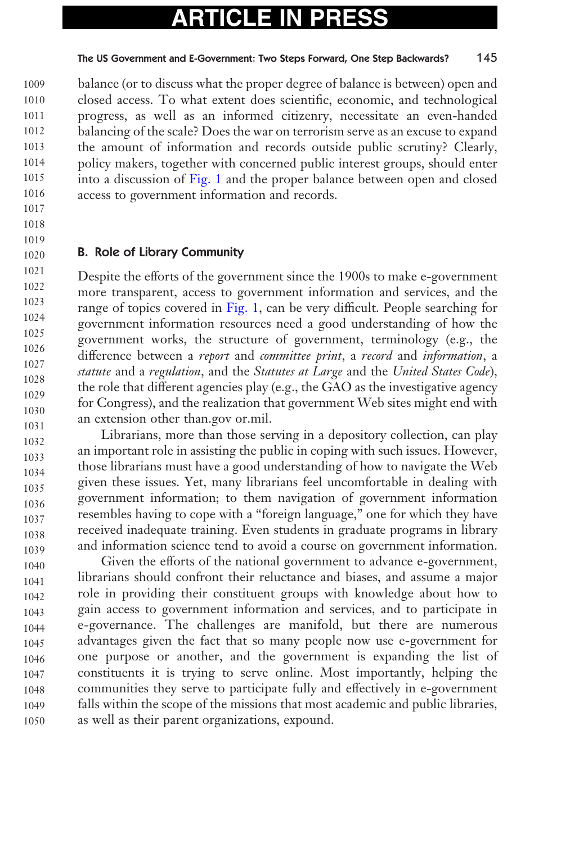### The US Government and E-Government: Two Steps Forward, One Step Backwards? 145

balance (or to discuss what the proper degree of balance is between) open and closed access. To what extent does scientific, economic, and technological progress, as well as an informed citizenry, necessitate an even-handed balancing of the scale? Does the war on terrorism serve as an excuse to expand the amount of information and records outside public scrutiny? Clearly, policy makers, together with concerned public interest groups, should enter into a discussion of [Fig. 1](#page-3-0) and the proper balance between open and closed access to government information and records. 1009 1010 1011  $1012$ 1013 1014 1015 1016

1017 1018

#### 1019 1020

### B. Role of Library Community

Despite the efforts of the government since the 1900s to make e-government more transparent, access to government information and services, and the range of topics covered in [Fig. 1](#page-3-0), can be very difficult. People searching for government information resources need a good understanding of how the government works, the structure of government, terminology (e.g., the difference between a report and committee print, a record and information, a statute and a regulation, and the Statutes at Large and the United States Code), the role that different agencies play (e.g., the GAO as the investigative agency for Congress), and the realization that government Web sites might end with an extension other than.gov or.mil. 1021 1022 1023 1024 1025 1026 1027 1028 1029 1030 1031

Librarians, more than those serving in a depository collection, can play an important role in assisting the public in coping with such issues. However, those librarians must have a good understanding of how to navigate the Web given these issues. Yet, many librarians feel uncomfortable in dealing with government information; to them navigation of government information resembles having to cope with a "foreign language," one for which they have received inadequate training. Even students in graduate programs in library and information science tend to avoid a course on government information. 1032 1033 1034 1035 1036 1037 1038 1039

Given the efforts of the national government to advance e-government, librarians should confront their reluctance and biases, and assume a major role in providing their constituent groups with knowledge about how to gain access to government information and services, and to participate in e-governance. The challenges are manifold, but there are numerous advantages given the fact that so many people now use e-government for one purpose or another, and the government is expanding the list of constituents it is trying to serve online. Most importantly, helping the communities they serve to participate fully and effectively in e-government falls within the scope of the missions that most academic and public libraries, as well as their parent organizations, expound. 1040 1041 1042 1043 1044 1045 1046 1047 1048 1049 1050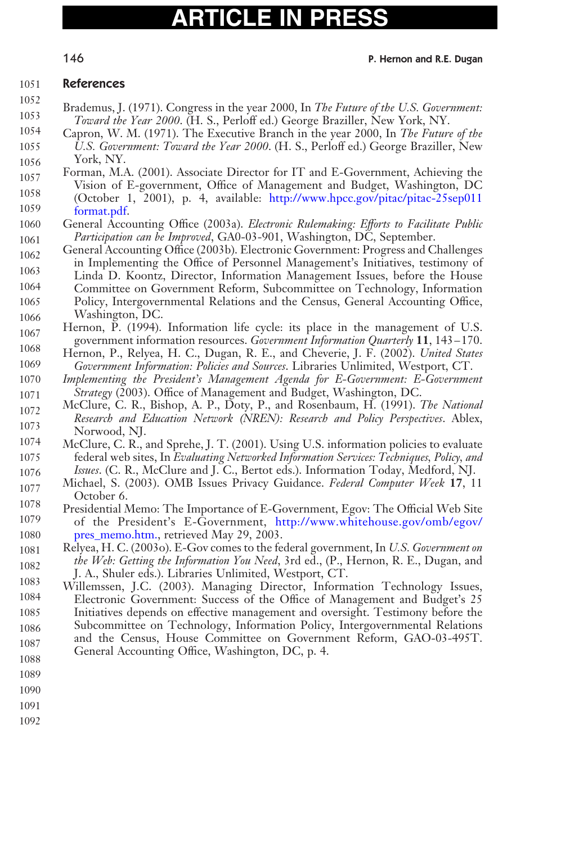#### <span id="page-25-0"></span>References 1051

- Brademus, J. (1971). Congress in the year 2000, In The Future of the U.S. Government: Toward the Year 2000. (H. S., Perloff ed.) George Braziller, New York, NY. 1052 1053
- Capron, W. M. (1971). The Executive Branch in the year 2000, In The Future of the U.S. Government: Toward the Year 2000. (H. S., Perloff ed.) George Braziller, New York, NY. 1054 1055 1056
- Forman, M.A. (2001). Associate Director for IT and E-Government, Achieving the Vision of E-government, Office of Management and Budget, Washington, DC (October 1, 2001), p. 4, available: [http://www.hpcc.gov/pitac/pitac-25sep011](http://www.hpcc.gov/pitac/pitac-25sep011format.pdf) [format.pdf](http://www.hpcc.gov/pitac/pitac-25sep011format.pdf). 1057 1058 1059
- General Accounting Office (2003a). Electronic Rulemaking: Efforts to Facilitate Public Participation can be Improved, GA0-03-901, Washington, DC, September. 1060 1061
- General Accounting Office (2003b). Electronic Government: Progress and Challenges in Implementing the Office of Personnel Management's Initiatives, testimony of Linda D. Koontz, Director, Information Management Issues, before the House Committee on Government Reform, Subcommittee on Technology, Information Policy, Intergovernmental Relations and the Census, General Accounting Office, Washington, DC. 1062 1063 1064 1065 1066
- Hernon, P. (1994). Information life cycle: its place in the management of U.S. government information resources. Government Information Quarterly 11, 143–170. 1067
- Hernon, P., Relyea, H. C., Dugan, R. E., and Cheverie, J. F. (2002). United States Government Information: Policies and Sources. Libraries Unlimited, Westport, CT. 1068 1069
- Implementing the President's Management Agenda for E-Government: E-Government Strategy (2003). Office of Management and Budget, Washington, DC. 1070 1071
- McClure, C. R., Bishop, A. P., Doty, P., and Rosenbaum, H. (1991). The National Research and Education Network (NREN): Research and Policy Perspectives. Ablex, Norwood, NJ. 1072 1073
- McClure, C. R., and Sprehe, J. T. (2001). Using U.S. information policies to evaluate federal web sites, In Evaluating Networked Information Services: Techniques, Policy, and Issues. (C. R., McClure and J. C., Bertot eds.). Information Today, Medford, NJ. 1074 1075
- Michael, S. (2003). OMB Issues Privacy Guidance. Federal Computer Week 17, 11 October 6. 1076 1077
- Presidential Memo: The Importance of E-Government, Egov: The Official Web Site of the President's E-Government, [http://www.whitehouse.gov/omb/egov/](http://www.whitehouse.gov/omb/egov/pres_memo.htm.) [pres\\_memo.htm.](http://www.whitehouse.gov/omb/egov/pres_memo.htm.), retrieved May 29, 2003. 1078 1079 1080
- Relyea, H. C. (2003o). E-Gov comes to the federal government, In U.S. Government on the Web: Getting the Information You Need, 3rd ed., (P., Hernon, R. E., Dugan, and J. A., Shuler eds.). Libraries Unlimited, Westport, CT. 1081 1082
- Willemssen, J.C. (2003). Managing Director, Information Technology Issues, Electronic Government: Success of the Office of Management and Budget's 25 Initiatives depends on effective management and oversight. Testimony before the Subcommittee on Technology, Information Policy, Intergovernmental Relations and the Census, House Committee on Government Reform, GAO-03-495T. 1083 1084 1085 1086
- General Accounting Office, Washington, DC, p. 4. 1087
	- 1088

1089